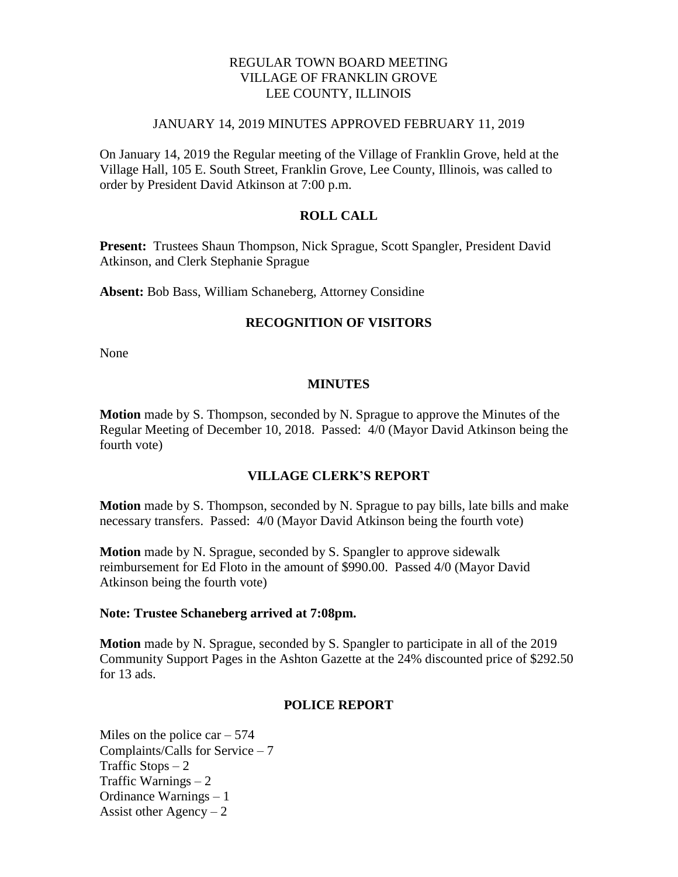## REGULAR TOWN BOARD MEETING VILLAGE OF FRANKLIN GROVE LEE COUNTY, ILLINOIS

#### JANUARY 14, 2019 MINUTES APPROVED FEBRUARY 11, 2019

On January 14, 2019 the Regular meeting of the Village of Franklin Grove, held at the Village Hall, 105 E. South Street, Franklin Grove, Lee County, Illinois, was called to order by President David Atkinson at 7:00 p.m.

## **ROLL CALL**

**Present:** Trustees Shaun Thompson, Nick Sprague, Scott Spangler, President David Atkinson, and Clerk Stephanie Sprague

**Absent:** Bob Bass, William Schaneberg, Attorney Considine

### **RECOGNITION OF VISITORS**

None

### **MINUTES**

**Motion** made by S. Thompson, seconded by N. Sprague to approve the Minutes of the Regular Meeting of December 10, 2018. Passed: 4/0 (Mayor David Atkinson being the fourth vote)

## **VILLAGE CLERK'S REPORT**

**Motion** made by S. Thompson, seconded by N. Sprague to pay bills, late bills and make necessary transfers. Passed: 4/0 (Mayor David Atkinson being the fourth vote)

**Motion** made by N. Sprague, seconded by S. Spangler to approve sidewalk reimbursement for Ed Floto in the amount of \$990.00. Passed 4/0 (Mayor David Atkinson being the fourth vote)

#### **Note: Trustee Schaneberg arrived at 7:08pm.**

**Motion** made by N. Sprague, seconded by S. Spangler to participate in all of the 2019 Community Support Pages in the Ashton Gazette at the 24% discounted price of \$292.50 for 13 ads.

### **POLICE REPORT**

Miles on the police car  $-574$ Complaints/Calls for Service – 7 Traffic Stops  $-2$ Traffic Warnings – 2 Ordinance Warnings – 1 Assist other Agency  $-2$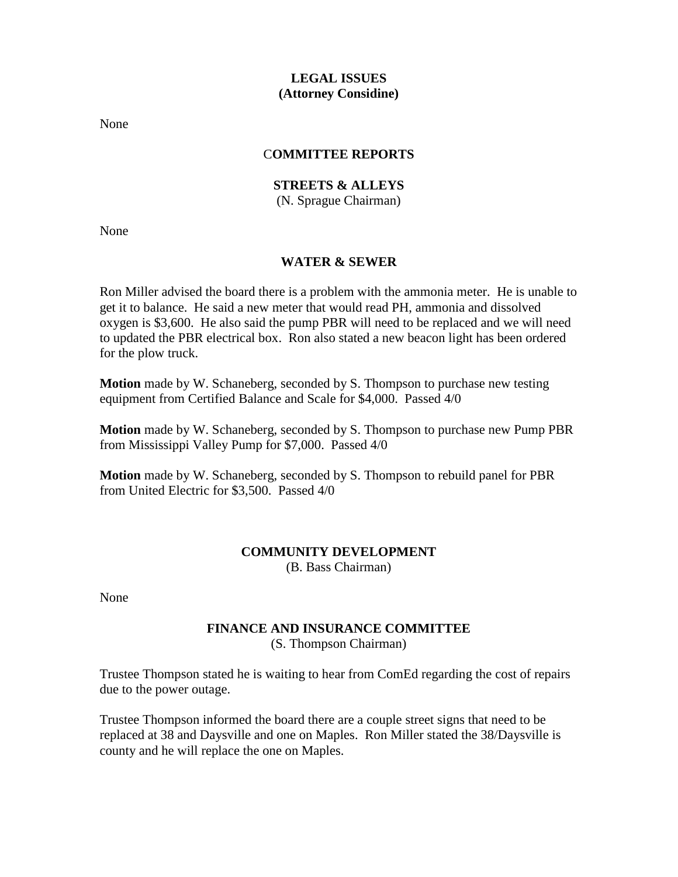## **LEGAL ISSUES (Attorney Considine)**

None

## C**OMMITTEE REPORTS**

# **STREETS & ALLEYS**

(N. Sprague Chairman)

None

### **WATER & SEWER**

Ron Miller advised the board there is a problem with the ammonia meter. He is unable to get it to balance. He said a new meter that would read PH, ammonia and dissolved oxygen is \$3,600. He also said the pump PBR will need to be replaced and we will need to updated the PBR electrical box. Ron also stated a new beacon light has been ordered for the plow truck.

**Motion** made by W. Schaneberg, seconded by S. Thompson to purchase new testing equipment from Certified Balance and Scale for \$4,000. Passed 4/0

**Motion** made by W. Schaneberg, seconded by S. Thompson to purchase new Pump PBR from Mississippi Valley Pump for \$7,000. Passed 4/0

**Motion** made by W. Schaneberg, seconded by S. Thompson to rebuild panel for PBR from United Electric for \$3,500. Passed 4/0

### **COMMUNITY DEVELOPMENT** (B. Bass Chairman)

None

### **FINANCE AND INSURANCE COMMITTEE** (S. Thompson Chairman)

Trustee Thompson stated he is waiting to hear from ComEd regarding the cost of repairs due to the power outage.

Trustee Thompson informed the board there are a couple street signs that need to be replaced at 38 and Daysville and one on Maples. Ron Miller stated the 38/Daysville is county and he will replace the one on Maples.